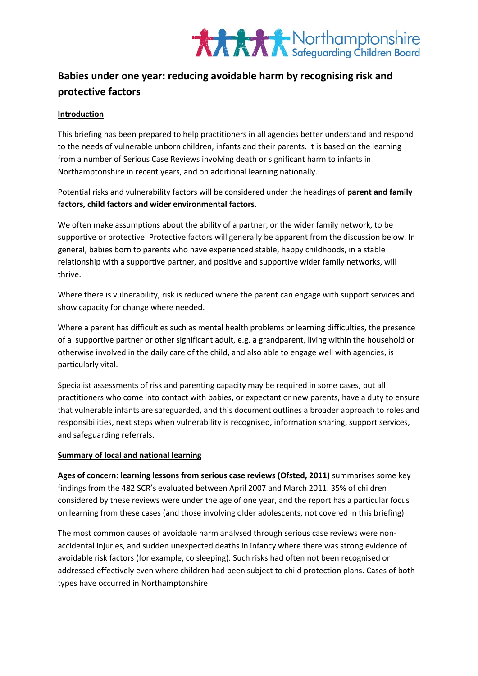

### **Babies under one year: reducing avoidable harm by recognising risk and protective factors**

#### **Introduction**

This briefing has been prepared to help practitioners in all agencies better understand and respond to the needs of vulnerable unborn children, infants and their parents. It is based on the learning from a number of Serious Case Reviews involving death or significant harm to infants in Northamptonshire in recent years, and on additional learning nationally.

Potential risks and vulnerability factors will be considered under the headings of **parent and family factors, child factors and wider environmental factors.**

We often make assumptions about the ability of a partner, or the wider family network, to be supportive or protective. Protective factors will generally be apparent from the discussion below. In general, babies born to parents who have experienced stable, happy childhoods, in a stable relationship with a supportive partner, and positive and supportive wider family networks, will thrive.

Where there is vulnerability, risk is reduced where the parent can engage with support services and show capacity for change where needed.

Where a parent has difficulties such as mental health problems or learning difficulties, the presence of a supportive partner or other significant adult, e.g. a grandparent, living within the household or otherwise involved in the daily care of the child, and also able to engage well with agencies, is particularly vital.

Specialist assessments of risk and parenting capacity may be required in some cases, but all practitioners who come into contact with babies, or expectant or new parents, have a duty to ensure that vulnerable infants are safeguarded, and this document outlines a broader approach to roles and responsibilities, next steps when vulnerability is recognised, information sharing, support services, and safeguarding referrals.

#### **Summary of local and national learning**

**Ages of concern: learning lessons from serious case reviews (Ofsted, 2011)** summarises some key findings from the 482 SCR's evaluated between April 2007 and March 2011. 35% of children considered by these reviews were under the age of one year, and the report has a particular focus on learning from these cases (and those involving older adolescents, not covered in this briefing)

The most common causes of avoidable harm analysed through serious case reviews were nonaccidental injuries, and sudden unexpected deaths in infancy where there was strong evidence of avoidable risk factors (for example, co sleeping). Such risks had often not been recognised or addressed effectively even where children had been subject to child protection plans. Cases of both types have occurred in Northamptonshire.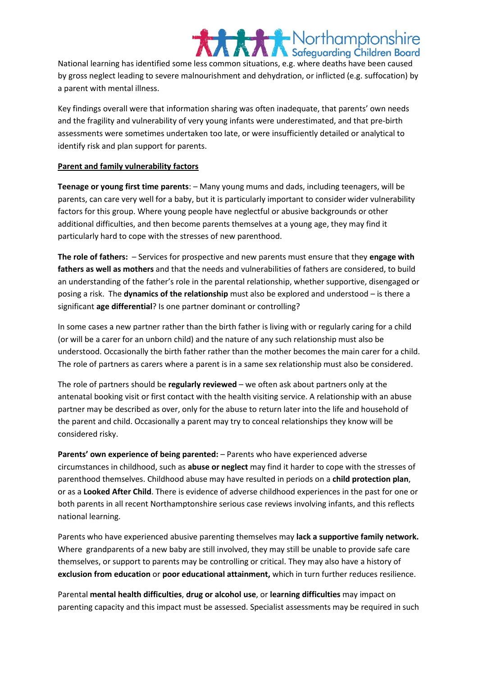### Northamptonshire

National learning has identified some less common situations, e.g. where deaths have been caused by gross neglect leading to severe malnourishment and dehydration, or inflicted (e.g. suffocation) by a parent with mental illness.

Key findings overall were that information sharing was often inadequate, that parents' own needs and the fragility and vulnerability of very young infants were underestimated, and that pre-birth assessments were sometimes undertaken too late, or were insufficiently detailed or analytical to identify risk and plan support for parents.

#### **Parent and family vulnerability factors**

**Teenage or young first time parents**: – Many young mums and dads, including teenagers, will be parents, can care very well for a baby, but it is particularly important to consider wider vulnerability factors for this group. Where young people have neglectful or abusive backgrounds or other additional difficulties, and then become parents themselves at a young age, they may find it particularly hard to cope with the stresses of new parenthood.

**The role of fathers:** – Services for prospective and new parents must ensure that they **engage with fathers as well as mothers** and that the needs and vulnerabilities of fathers are considered, to build an understanding of the father's role in the parental relationship, whether supportive, disengaged or posing a risk. The **dynamics of the relationship** must also be explored and understood – is there a significant **age differential**? Is one partner dominant or controlling?

In some cases a new partner rather than the birth father is living with or regularly caring for a child (or will be a carer for an unborn child) and the nature of any such relationship must also be understood. Occasionally the birth father rather than the mother becomes the main carer for a child. The role of partners as carers where a parent is in a same sex relationship must also be considered.

The role of partners should be **regularly reviewed** – we often ask about partners only at the antenatal booking visit or first contact with the health visiting service. A relationship with an abuse partner may be described as over, only for the abuse to return later into the life and household of the parent and child. Occasionally a parent may try to conceal relationships they know will be considered risky.

**Parents' own experience of being parented:** – Parents who have experienced adverse circumstances in childhood, such as **abuse or neglect** may find it harder to cope with the stresses of parenthood themselves. Childhood abuse may have resulted in periods on a **child protection plan**, or as a **Looked After Child**. There is evidence of adverse childhood experiences in the past for one or both parents in all recent Northamptonshire serious case reviews involving infants, and this reflects national learning.

Parents who have experienced abusive parenting themselves may **lack a supportive family network.**  Where grandparents of a new baby are still involved, they may still be unable to provide safe care themselves, or support to parents may be controlling or critical. They may also have a history of **exclusion from education** or **poor educational attainment,** which in turn further reduces resilience.

Parental **mental health difficulties**, **drug or alcohol use**, or **learning difficulties** may impact on parenting capacity and this impact must be assessed. Specialist assessments may be required in such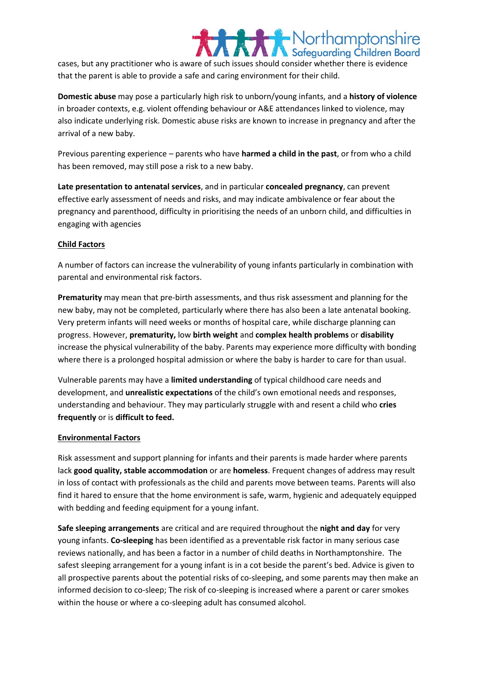### Northamptonshire cases, but any practitioner who is aware of such issues should consider whether there is evidence that the parent is able to provide a safe and caring environment for their child.

**Domestic abuse** may pose a particularly high risk to unborn/young infants, and a **history of violence** in broader contexts, e.g. violent offending behaviour or A&E attendances linked to violence, may also indicate underlying risk. Domestic abuse risks are known to increase in pregnancy and after the arrival of a new baby.

Previous parenting experience – parents who have **harmed a child in the past**, or from who a child has been removed, may still pose a risk to a new baby.

**Late presentation to antenatal services**, and in particular **concealed pregnancy**, can prevent effective early assessment of needs and risks, and may indicate ambivalence or fear about the pregnancy and parenthood, difficulty in prioritising the needs of an unborn child, and difficulties in engaging with agencies

#### **Child Factors**

A number of factors can increase the vulnerability of young infants particularly in combination with parental and environmental risk factors.

**Prematurity** may mean that pre-birth assessments, and thus risk assessment and planning for the new baby, may not be completed, particularly where there has also been a late antenatal booking. Very preterm infants will need weeks or months of hospital care, while discharge planning can progress. However, **prematurity,** low **birth weight** and **complex health problems** or **disability** increase the physical vulnerability of the baby. Parents may experience more difficulty with bonding where there is a prolonged hospital admission or where the baby is harder to care for than usual.

Vulnerable parents may have a **limited understanding** of typical childhood care needs and development, and **unrealistic expectations** of the child's own emotional needs and responses, understanding and behaviour. They may particularly struggle with and resent a child who **cries frequently** or is **difficult to feed.**

#### **Environmental Factors**

Risk assessment and support planning for infants and their parents is made harder where parents lack **good quality, stable accommodation** or are **homeless**. Frequent changes of address may result in loss of contact with professionals as the child and parents move between teams. Parents will also find it hared to ensure that the home environment is safe, warm, hygienic and adequately equipped with bedding and feeding equipment for a young infant.

**Safe sleeping arrangements** are critical and are required throughout the **night and day** for very young infants. **Co-sleeping** has been identified as a preventable risk factor in many serious case reviews nationally, and has been a factor in a number of child deaths in Northamptonshire. The safest sleeping arrangement for a young infant is in a cot beside the parent's bed. Advice is given to all prospective parents about the potential risks of co-sleeping, and some parents may then make an informed decision to co-sleep; The risk of co-sleeping is increased where a parent or carer smokes within the house or where a co-sleeping adult has consumed alcohol.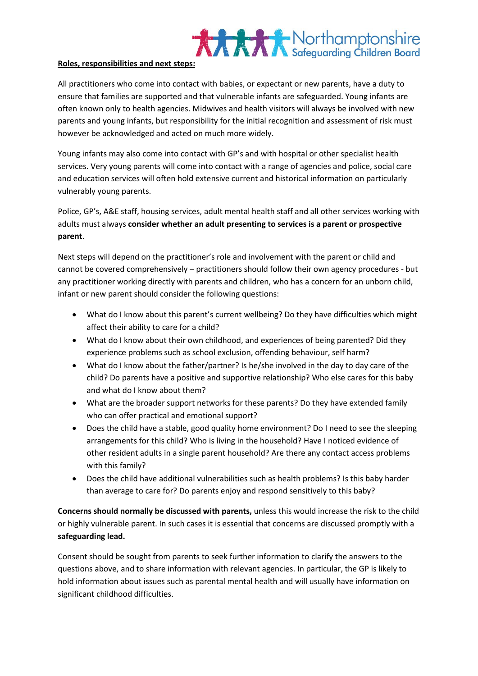# **XXXX** Northamptonshire

#### **Roles, responsibilities and next steps:**

All practitioners who come into contact with babies, or expectant or new parents, have a duty to ensure that families are supported and that vulnerable infants are safeguarded. Young infants are often known only to health agencies. Midwives and health visitors will always be involved with new parents and young infants, but responsibility for the initial recognition and assessment of risk must however be acknowledged and acted on much more widely.

Young infants may also come into contact with GP's and with hospital or other specialist health services. Very young parents will come into contact with a range of agencies and police, social care and education services will often hold extensive current and historical information on particularly vulnerably young parents.

Police, GP's, A&E staff, housing services, adult mental health staff and all other services working with adults must always **consider whether an adult presenting to services is a parent or prospective parent**.

Next steps will depend on the practitioner's role and involvement with the parent or child and cannot be covered comprehensively – practitioners should follow their own agency procedures - but any practitioner working directly with parents and children, who has a concern for an unborn child, infant or new parent should consider the following questions:

- What do I know about this parent's current wellbeing? Do they have difficulties which might affect their ability to care for a child?
- What do I know about their own childhood, and experiences of being parented? Did they experience problems such as school exclusion, offending behaviour, self harm?
- What do I know about the father/partner? Is he/she involved in the day to day care of the child? Do parents have a positive and supportive relationship? Who else cares for this baby and what do I know about them?
- What are the broader support networks for these parents? Do they have extended family who can offer practical and emotional support?
- Does the child have a stable, good quality home environment? Do I need to see the sleeping arrangements for this child? Who is living in the household? Have I noticed evidence of other resident adults in a single parent household? Are there any contact access problems with this family?
- Does the child have additional vulnerabilities such as health problems? Is this baby harder than average to care for? Do parents enjoy and respond sensitively to this baby?

**Concerns should normally be discussed with parents,** unless this would increase the risk to the child or highly vulnerable parent. In such cases it is essential that concerns are discussed promptly with a **safeguarding lead.**

Consent should be sought from parents to seek further information to clarify the answers to the questions above, and to share information with relevant agencies. In particular, the GP is likely to hold information about issues such as parental mental health and will usually have information on significant childhood difficulties.